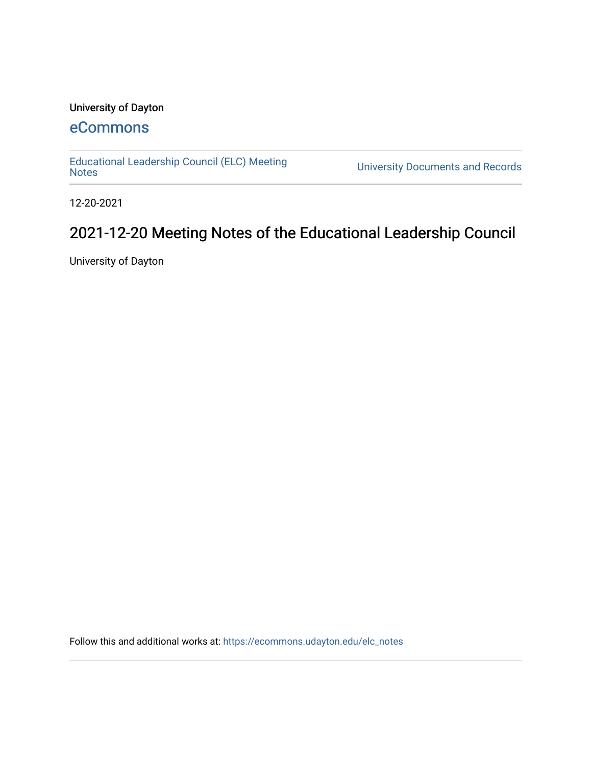### University of Dayton

## [eCommons](https://ecommons.udayton.edu/)

[Educational Leadership Council \(ELC\) Meeting](https://ecommons.udayton.edu/elc_notes)

University Documents and Records

12-20-2021

# 2021-12-20 Meeting Notes of the Educational Leadership Council

University of Dayton

Follow this and additional works at: [https://ecommons.udayton.edu/elc\\_notes](https://ecommons.udayton.edu/elc_notes?utm_source=ecommons.udayton.edu%2Felc_notes%2F45&utm_medium=PDF&utm_campaign=PDFCoverPages)